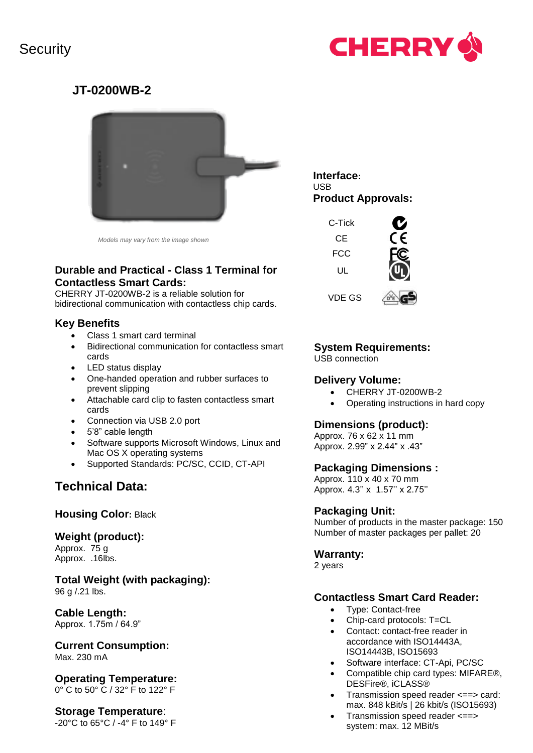# **Security**



## **JT-0200WB-2**



*Models may vary from the image shown*

## **Durable and Practical - Class 1 Terminal for Contactless Smart Cards:**

CHERRY JT-0200WB-2 is a reliable solution for bidirectional communication with contactless chip cards.

## **Key Benefits**

- Class 1 smart card terminal
- Bidirectional communication for contactless smart cards
- LED status display
- One-handed operation and rubber surfaces to prevent slipping
- Attachable card clip to fasten contactless smart cards
- Connection via USB 2.0 port
- 5'8" cable length
- Software supports Microsoft Windows, Linux and Mac OS X operating systems
- Supported Standards: PC/SC, CCID, CT-API

## **Technical Data:**

## **Housing Color:** Black

## **Weight (product):**

Approx. 75 g Approx. .16lbs.

**Total Weight (with packaging):** 96 g /.21 lbs.

## **Cable Length:**

Approx. 1.75m / 64.9"

**Current Consumption:** Max. 230 mA

**Operating Temperature:** 0° C to 50° C / 32° F to 122° F

## **Storage Temperature**:

-20°C to 65°C / -4° F to 149° F

**Interface:** USB **Product Approvals:**



## **System Requirements:**

USB connection

## **Delivery Volume:**

- CHERRY JT-0200WB-2
- Operating instructions in hard copy

## **Dimensions (product):**

Approx. 76 x 62 x 11 mm Approx. 2.99" x 2.44" x .43"

#### **Packaging Dimensions :**

Approx. 110 x 40 x 70 mm Approx. 4.3'' x 1.57'' x 2.75''

## **Packaging Unit:**

Number of products in the master package: 150 Number of master packages per pallet: 20

## **Warranty:**

2 years

## **Contactless Smart Card Reader:**

- Type: Contact-free
- Chip-card protocols: T=CL
- Contact: contact-free reader in accordance with ISO14443A, ISO14443B, ISO15693
- Software interface: CT-Api, PC/SC
- Compatible chip card types: MIFARE®, DESFire®, iCLASS®
- Transmission speed reader <==> card: max. 848 kBit/s | 26 kbit/s (ISO15693)
- Transmission speed reader <==> system: max. 12 MBit/s